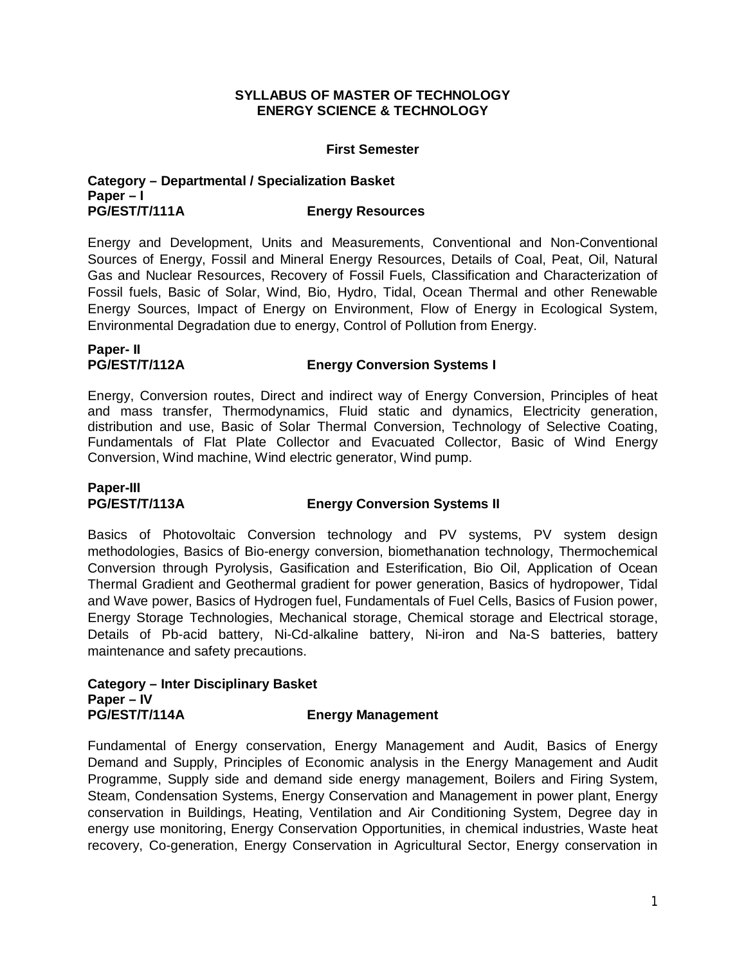### **SYLLABUS OF MASTER OF TECHNOLOGY ENERGY SCIENCE & TECHNOLOGY**

### **First Semester**

### **Category – Departmental / Specialization Basket Paper – I PG/EST/T/111A Energy Resources**

Energy and Development, Units and Measurements, Conventional and Non-Conventional Sources of Energy, Fossil and Mineral Energy Resources, Details of Coal, Peat, Oil, Natural Gas and Nuclear Resources, Recovery of Fossil Fuels, Classification and Characterization of Fossil fuels, Basic of Solar, Wind, Bio, Hydro, Tidal, Ocean Thermal and other Renewable Energy Sources, Impact of Energy on Environment, Flow of Energy in Ecological System, Environmental Degradation due to energy, Control of Pollution from Energy.

# **Paper- II**

### **PG/EST/T/112A Energy Conversion Systems I**

Energy, Conversion routes, Direct and indirect way of Energy Conversion, Principles of heat and mass transfer, Thermodynamics, Fluid static and dynamics, Electricity generation, distribution and use, Basic of Solar Thermal Conversion, Technology of Selective Coating, Fundamentals of Flat Plate Collector and Evacuated Collector, Basic of Wind Energy Conversion, Wind machine, Wind electric generator, Wind pump.

# Paper-III<br>PG/EST/T/113A

### **Energy Conversion Systems II**

Basics of Photovoltaic Conversion technology and PV systems, PV system design methodologies, Basics of Bio-energy conversion, biomethanation technology, Thermochemical Conversion through Pyrolysis, Gasification and Esterification, Bio Oil, Application of Ocean Thermal Gradient and Geothermal gradient for power generation, Basics of hydropower, Tidal and Wave power, Basics of Hydrogen fuel, Fundamentals of Fuel Cells, Basics of Fusion power, Energy Storage Technologies, Mechanical storage, Chemical storage and Electrical storage, Details of Pb-acid battery, Ni-Cd-alkaline battery, Ni-iron and Na-S batteries, battery maintenance and safety precautions.

### **Category – Inter Disciplinary Basket Paper – IV PG/EST/T/114A Energy Management**

Fundamental of Energy conservation, Energy Management and Audit, Basics of Energy Demand and Supply, Principles of Economic analysis in the Energy Management and Audit Programme, Supply side and demand side energy management, Boilers and Firing System, Steam, Condensation Systems, Energy Conservation and Management in power plant, Energy conservation in Buildings, Heating, Ventilation and Air Conditioning System, Degree day in energy use monitoring, Energy Conservation Opportunities, in chemical industries, Waste heat recovery, Co-generation, Energy Conservation in Agricultural Sector, Energy conservation in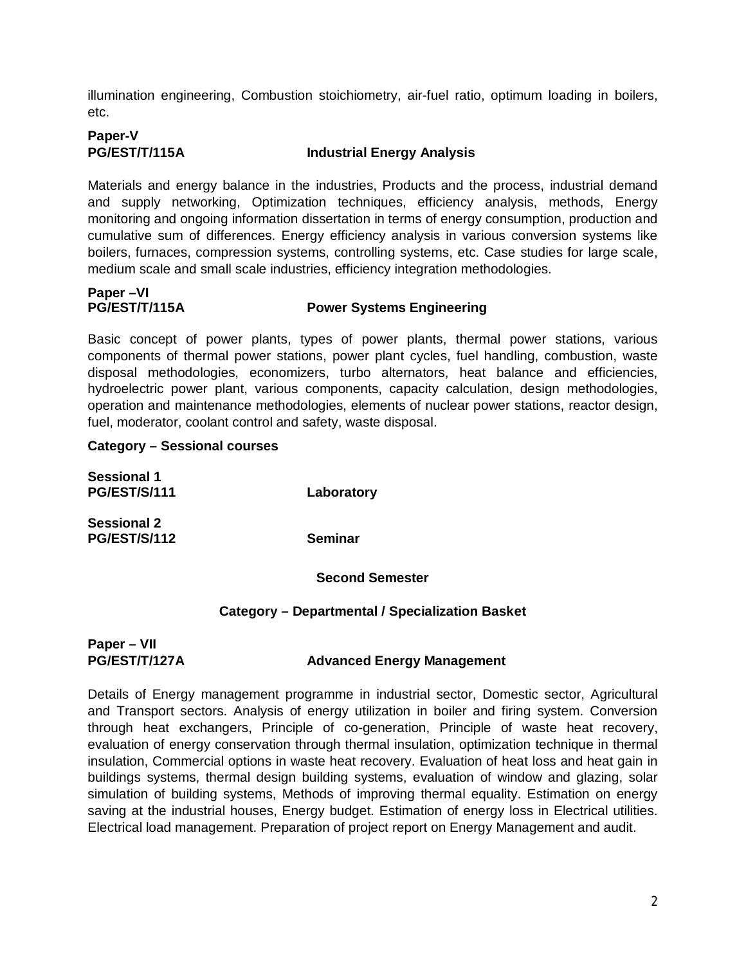illumination engineering, Combustion stoichiometry, air-fuel ratio, optimum loading in boilers, etc.

# **Paper-V**

**PG/EST/T/115A Industrial Energy Analysis**

Materials and energy balance in the industries, Products and the process, industrial demand and supply networking, Optimization techniques, efficiency analysis, methods, Energy monitoring and ongoing information dissertation in terms of energy consumption, production and cumulative sum of differences. Energy efficiency analysis in various conversion systems like boilers, furnaces, compression systems, controlling systems, etc. Case studies for large scale, medium scale and small scale industries, efficiency integration methodologies.

**Paper –VI**

### **PG/EST/T/115A Power Systems Engineering**

Basic concept of power plants, types of power plants, thermal power stations, various components of thermal power stations, power plant cycles, fuel handling, combustion, waste disposal methodologies, economizers, turbo alternators, heat balance and efficiencies, hydroelectric power plant, various components, capacity calculation, design methodologies, operation and maintenance methodologies, elements of nuclear power stations, reactor design, fuel, moderator, coolant control and safety, waste disposal.

### **Category – Sessional courses**

| <b>Sessional 1</b>  |                |
|---------------------|----------------|
| <b>PG/EST/S/111</b> | Laboratory     |
| <b>Sessional 2</b>  |                |
| <b>PG/EST/S/112</b> | <b>Seminar</b> |

**Second Semester**

## **Category – Departmental / Specialization Basket**

### **Paper – VII PG/EST/T/127A Advanced Energy Management**

Details of Energy management programme in industrial sector, Domestic sector, Agricultural and Transport sectors. Analysis of energy utilization in boiler and firing system. Conversion through heat exchangers, Principle of co-generation, Principle of waste heat recovery, evaluation of energy conservation through thermal insulation, optimization technique in thermal insulation, Commercial options in waste heat recovery. Evaluation of heat loss and heat gain in buildings systems, thermal design building systems, evaluation of window and glazing, solar simulation of building systems, Methods of improving thermal equality. Estimation on energy saving at the industrial houses, Energy budget. Estimation of energy loss in Electrical utilities. Electrical load management. Preparation of project report on Energy Management and audit.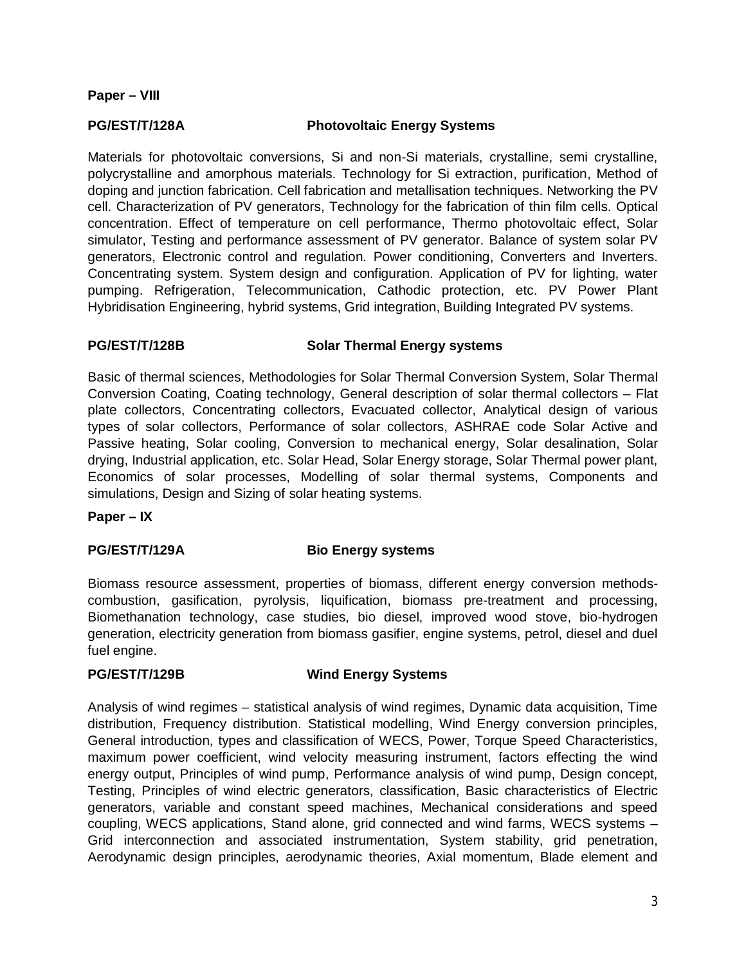### **Paper – VIII**

### **PG/EST/T/128A Photovoltaic Energy Systems**

Materials for photovoltaic conversions, Si and non-Si materials, crystalline, semi crystalline, polycrystalline and amorphous materials. Technology for Si extraction, purification, Method of doping and junction fabrication. Cell fabrication and metallisation techniques. Networking the PV cell. Characterization of PV generators, Technology for the fabrication of thin film cells. Optical concentration. Effect of temperature on cell performance, Thermo photovoltaic effect, Solar simulator, Testing and performance assessment of PV generator. Balance of system solar PV generators, Electronic control and regulation. Power conditioning, Converters and Inverters. Concentrating system. System design and configuration. Application of PV for lighting, water pumping. Refrigeration, Telecommunication, Cathodic protection, etc. PV Power Plant Hybridisation Engineering, hybrid systems, Grid integration, Building Integrated PV systems.

### **PG/EST/T/128B Solar Thermal Energy systems**

Basic of thermal sciences, Methodologies for Solar Thermal Conversion System, Solar Thermal Conversion Coating, Coating technology, General description of solar thermal collectors – Flat plate collectors, Concentrating collectors, Evacuated collector, Analytical design of various types of solar collectors, Performance of solar collectors, ASHRAE code Solar Active and Passive heating, Solar cooling, Conversion to mechanical energy, Solar desalination, Solar drying, Industrial application, etc. Solar Head, Solar Energy storage, Solar Thermal power plant, Economics of solar processes, Modelling of solar thermal systems, Components and simulations, Design and Sizing of solar heating systems.

**Paper – IX**

### **PG/EST/T/129A Bio Energy systems**

Biomass resource assessment, properties of biomass, different energy conversion methodscombustion, gasification, pyrolysis, liquification, biomass pre-treatment and processing, Biomethanation technology, case studies, bio diesel, improved wood stove, bio-hydrogen generation, electricity generation from biomass gasifier, engine systems, petrol, diesel and duel fuel engine.

### **PG/EST/T/129B Wind Energy Systems**

Analysis of wind regimes – statistical analysis of wind regimes, Dynamic data acquisition, Time distribution, Frequency distribution. Statistical modelling, Wind Energy conversion principles, General introduction, types and classification of WECS, Power, Torque Speed Characteristics, maximum power coefficient, wind velocity measuring instrument, factors effecting the wind energy output, Principles of wind pump, Performance analysis of wind pump, Design concept, Testing, Principles of wind electric generators, classification, Basic characteristics of Electric generators, variable and constant speed machines, Mechanical considerations and speed coupling, WECS applications, Stand alone, grid connected and wind farms, WECS systems – Grid interconnection and associated instrumentation, System stability, grid penetration, Aerodynamic design principles, aerodynamic theories, Axial momentum, Blade element and